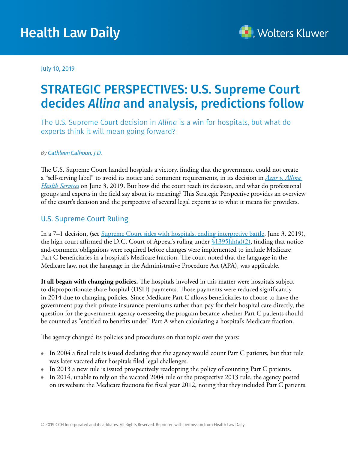# Health Law Daily



July 10, 2019

## STRATEGIC PERSPECTIVES: U.S. Supreme Court decides *Allina* and analysis, predictions follow

The U.S. Supreme Court decision in *Allina* is a win for hospitals, but what do experts think it will mean going forward?

#### *By[Cathleen Calhoun, J.D.](http://health.wolterskluwerlb.com/editors/)*

The U.S. Supreme Court handed hospitals a victory, finding that the government could not create a "self-serving label" to avoid its notice and comment requirements, in its decision in *[Azar v. Allina](http://hr.cch.com/hld/AllinavAzarUS632019.pdf) [Health Services](http://hr.cch.com/hld/AllinavAzarUS632019.pdf)* on June 3, 2019. But how did the court reach its decision, and what do professional groups and experts in the field say about its meaning? This Strategic Perspective provides an overview of the court's decision and the perspective of several legal experts as to what it means for providers.

### U.S. Supreme Court Ruling

In a 7–1 decision, (see <u>Supreme Court sides with hospitals, ending interpretive battle</u>, June 3, 2019), the high court affirmed the D.C. Court of Appeal's ruling under  $\frac{\S1395\hbar(a)}{2}$ , finding that noticeand-comment obligations were required before changes were implemented to include Medicare Part C beneficiaries in a hospital's Medicare fraction. The court noted that the language in the Medicare law, not the language in the Administrative Procedure Act (APA), was applicable.

**It all began with changing policies.** The hospitals involved in this matter were hospitals subject to disproportionate share hospital (DSH) payments. Those payments were reduced significantly in 2014 due to changing policies. Since Medicare Part C allows beneficiaries to choose to have the government pay their private insurance premiums rather than pay for their hospital care directly, the question for the government agency overseeing the program became whether Part C patients should be counted as "entitled to benefits under" Part A when calculating a hospital's Medicare fraction.

The agency changed its policies and procedures on that topic over the years:

- In 2004 a final rule is issued declaring that the agency would count Part C patients, but that rule was later vacated after hospitals filed legal challenges.
- In 2013 a new rule is issued prospectively readopting the policy of counting Part C patients.
- $\bullet$  In 2014, unable to rely on the vacated 2004 rule or the prospective 2013 rule, the agency posted on its website the Medicare fractions for fiscal year 2012, noting that they included Part C patients.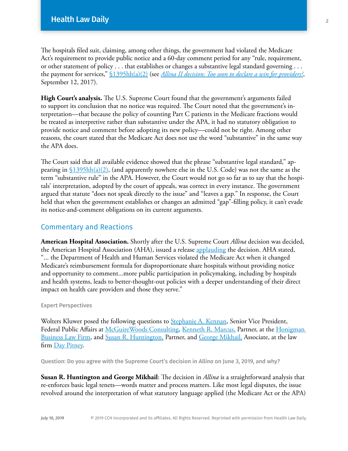The hospitals filed suit, claiming, among other things, the government had violated the Medicare Act's requirement to provide public notice and a 60-day comment period for any "rule, requirement, or other statement of policy . . . that establishes or changes a substantive legal standard governing . . . the payment for services," [§1395hh\(a\)\(2\)](https://www.ssa.gov/OP_Home/ssact/title18/1871.htm) (see *[Allina II decision: Too soon to declare a win for providers?](http://hr.cch.com/hld/AllinaIIdecision-Toosoontodeclareawinforproviders.pdf)*, September 12, 2017).

**High Court's analysis.** The U.S. Supreme Court found that the government's arguments failed to support its conclusion that no notice was required. The Court noted that the government's interpretation—that because the policy of counting Part C patients in the Medicare fractions would be treated as interpretive rather than substantive under the APA, it had no statutory obligation to provide notice and comment before adopting its new policy—could not be right. Among other reasons, the court stated that the Medicare Act does not use the word "substantive" in the same way the APA does.

The Court said that all available evidence showed that the phrase "substantive legal standard," appearing in  $$1395hh(a)(2)$ , (and apparently nowhere else in the U.S. Code) was not the same as the term "substantive rule" in the APA. However, the Court would not go so far as to say that the hospitals' interpretation, adopted by the court of appeals, was correct in every instance. The government argued that statute "does not speak directly to the issue" and "leaves a gap." In response, the Court held that when the government establishes or changes an admitted "gap"-filling policy, it can't evade its notice-and-comment obligations on its current arguments.

#### Commentary and Reactions

**American Hospital Association.** Shortly after the U.S. Supreme Court *Allina* decision was decided, the American Hospital Association (AHA), issued a release [applauding](https://www.aha.org/press-releases/2019-06-03-aha-statement-supreme-court-decision-azar-v-allina-health-services) the decision. AHA stated, "... the Department of Health and Human Services violated the Medicare Act when it changed Medicare's reimbursement formula for disproportionate share hospitals without providing notice and opportunity to comment...more public participation in policymaking, including by hospitals and health systems, leads to better-thought-out policies with a deeper understanding of their direct impact on health care providers and those they serve."

#### Expert Perspectives

Wolters Kluwer posed the following questions to [Stephanie A. Kennan,](https://www.mwcllc.com/our-people/k/stephanie-a-kennan) Senior Vice President, Federal Public Affairs at [McGuireWoods Consulting](https://www.mwcllc.com/firm), [Kenneth R. Marcus,](https://www.honigman.com/attorneys-kenneth-r-marcus.html) Partner, at the Honigman [Business Law Firm,](https://www.honigman.com/firm.html) and [Susan R. Huntington,](https://www.daypitney.com/professionals/h/huntington-susan-r) Partner, and [George Mikhail,](https://www.daypitney.com/professionals/m/mikhail-george) Associate, at the law firm [Day Pitney.](https://www.daypitney.com/about/general-content)

Question: Do you agree with the Supreme Court's decision in *Allina* on June 3, 2019, and why?

**Susan R. Huntington and George Mikhail**: The decision in *Allina* is a straightforward analysis that re-enforces basic legal tenets—words matter and process matters. Like most legal disputes, the issue revolved around the interpretation of what statutory language applied (the Medicare Act or the APA)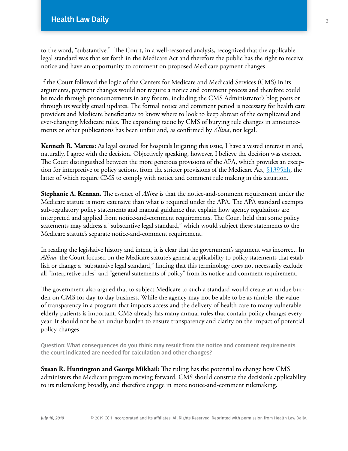to the word, "substantive." The Court, in a well-reasoned analysis, recognized that the applicable legal standard was that set forth in the Medicare Act and therefore the public has the right to receive notice and have an opportunity to comment on proposed Medicare payment changes.

If the Court followed the logic of the Centers for Medicare and Medicaid Services (CMS) in its arguments, payment changes would not require a notice and comment process and therefore could be made through pronouncements in any forum, including the CMS Administrator's blog posts or through its weekly email updates. The formal notice and comment period is necessary for health care providers and Medicare beneficiaries to know where to look to keep abreast of the complicated and ever-changing Medicare rules. The expanding tactic by CMS of burying rule changes in announcements or other publications has been unfair and, as confirmed by *Allina*, not legal.

**Kenneth R. Marcus:** As legal counsel for hospitals litigating this issue, I have a vested interest in and, naturally, I agree with the decision. Objectively speaking, however, I believe the decision was correct. The Court distinguished between the more generous provisions of the APA, which provides an exception for interpretive or policy actions, from the stricter provisions of the Medicare Act, [§1395hh,](https://www.ssa.gov/OP_Home/ssact/title18/1871.htm) the latter of which require CMS to comply with notice and comment rule making in this situation.

**Stephanie A. Kennan.** The essence of *Allina* is that the notice-and-comment requirement under the Medicare statute is more extensive than what is required under the APA. The APA standard exempts sub-regulatory policy statements and manual guidance that explain how agency regulations are interpreted and applied from notice-and-comment requirements. The Court held that some policy statements may address a "substantive legal standard," which would subject these statements to the Medicare statute's separate notice-and-comment requirement.

In reading the legislative history and intent, it is clear that the government's argument was incorrect. In *Allina,* the Court focused on the Medicare statute's general applicability to policy statements that establish or change a "substantive legal standard," finding that this terminology does not necessarily exclude all "interpretive rules" and "general statements of policy" from its notice-and-comment requirement.

The government also argued that to subject Medicare to such a standard would create an undue burden on CMS for day-to-day business. While the agency may not be able to be as nimble, the value of transparency in a program that impacts access and the delivery of health care to many vulnerable elderly patients is important. CMS already has many annual rules that contain policy changes every year. It should not be an undue burden to ensure transparency and clarity on the impact of potential policy changes.

Question: What consequences do you think may result from the notice and comment requirements the court indicated are needed for calculation and other changes?

**Susan R. Huntington and George Mikhail:** The ruling has the potential to change how CMS administers the Medicare program moving forward. CMS should construe the decision's applicability to its rulemaking broadly, and therefore engage in more notice-and-comment rulemaking.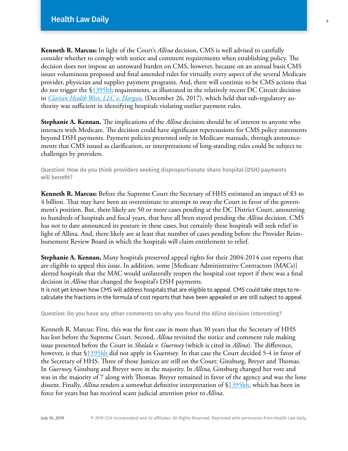**Kenneth R. Marcus:** In light of the Court's *Allina* decision, CMS is well advised to carefully consider whether to comply with notice and comment requirements when establishing policy. The decision does not impose an untoward burden on CMS, however, because on an annual basis CMS issues voluminous proposed and final amended rules for virtually every aspect of the several Medicare provider, physician and supplier payment programs. And, there will continue to be CMS actions that do not trigger the §[1395hh](https://www.ssa.gov/OP_Home/ssact/title18/1871.htm) requirements, as illustrated in the relatively recent DC Circuit decision in *[Clarian Health West, LLC v. Hargan,](http://hr.cch.com/hld/ClarianHealthWestvHarganDCCir12262017.pdf)* (December 26, 2017), which held that sub-regulatory authority was sufficient in identifying hospitals violating outlier payment rules.

**Stephanie A. Kennan.** The implications of the *Allina* decision should be of interest to anyone who interacts with Medicare. The decision could have significant repercussions for CMS policy statements beyond DSH payments. Payment policies presented only in Medicare manuals, through announcements that CMS issued as clarification, or interpretations of long-standing rules could be subject to challenges by providers.

Question: How do you think providers seeking disproportionate share hospital (DSH) payments will benefit?

**Kenneth R. Marcus:** Before the Supreme Court the Secretary of HHS estimated an impact of \$3 to 4 billion. That may have been an overestimate to attempt to sway the Court in favor of the government's position. But, there likely are 50 or more cases pending at the DC District Court, amounting to hundreds of hospitals and fiscal years, that have all been stayed pending the *Allina* decision. CMS has not to date announced its posture in these cases, but certainly these hospitals will seek relief in light of Allina. And, there likely are at least that number of cases pending before the Provider Reimbursement Review Board in which the hospitals will claim entitlement to relief.

**Stephanie A. Kennan.** Many hospitals preserved appeal rights for their 2004-2014 cost reports that are eligible to appeal this issue. In addition, some [Medicare Administrative Contractors (MACs)] alerted hospitals that the MAC would unilaterally reopen the hospital cost report if there was a final decision in *Allina* that changed the hospital's DSH payments.

It is not yet known how CMS will address hospitals that are eligible to appeal. CMS could take steps to recalculate the fractions in the formula of cost reports that have been appealed or are still subject to appeal.

Question: Do you have any other comments on why you found the *Allina* decision interesting?

Kenneth R. Marcus: First, this was the first case in more than 30 years that the Secretary of HHS has lost before the Supreme Court. Second, *Allina* revisited the notice and comment rule making issue presented before the Court in *Shalala v. Guernsey* (which is cited in *Allina*). The difference, however, is that [§1395hh](https://www.ssa.gov/OP_Home/ssact/title18/1871.htm) did not apply in Guernsey. In that case the Court decided 5-4 in favor of the Secretary of HHS. Three of those Justices are still on the Court: Ginsburg, Breyer and Thomas. In *Guernsey,* Ginsburg and Breyer were in the majority. In *Allina,* Ginsburg changed her vote and was in the majority of 7 along with Thomas. Breyer remained in favor of the agency and was the lone dissent. Finally, *Allina* renders a somewhat definitive interpretation of [§1395hh,](https://www.ssa.gov/OP_Home/ssact/title18/1871.htm) which has been in force for years but has received scant judicial attention prior to *Allina*.